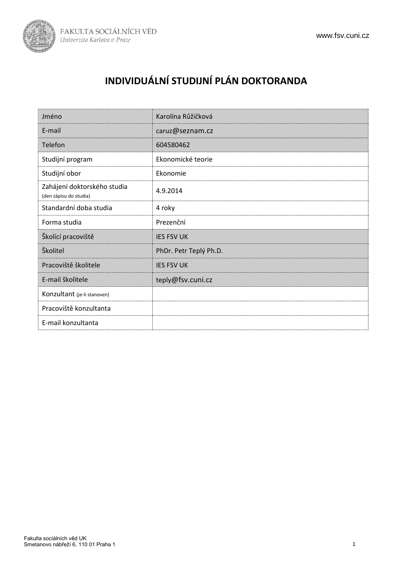

# **INDIVIDUÁLNÍ STUDIJNÍ PLÁN DOKTORANDA**

| Jméno                                                 | Karolína Růžičková     |
|-------------------------------------------------------|------------------------|
| E-mail                                                | caruz@seznam.cz        |
| Telefon                                               | 604580462              |
| Studijní program                                      | Ekonomické teorie      |
| Studijní obor                                         | Ekonomie               |
| Zahájení doktorského studia<br>(den zápisu do studia) | 4.9.2014               |
| Standardní doba studia                                | 4 roky                 |
| Forma studia                                          | Prezenční              |
| Školící pracoviště                                    | <b>IES FSV UK</b>      |
| Školitel                                              | PhDr. Petr Teplý Ph.D. |
| Pracoviště školitele                                  | <b>IES FSV UK</b>      |
| E-mail školitele                                      | teply@fsv.cuni.cz      |
| Konzultant (je-li stanoven)                           |                        |
| Pracoviště konzultanta                                |                        |
| E-mail konzultanta                                    |                        |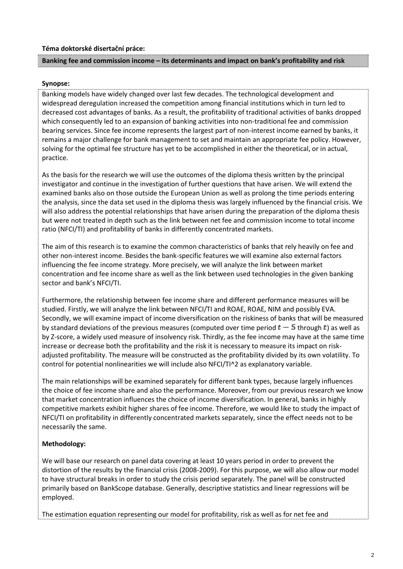#### **Téma doktorské disertační práce:**

#### **Banking fee and commission income – its determinants and impact on bank's profitability and risk**

#### **Synopse:**

Banking models have widely changed over last few decades. The technological development and widespread deregulation increased the competition among financial institutions which in turn led to decreased cost advantages of banks. As a result, the profitability of traditional activities of banks dropped which consequently led to an expansion of banking activities into non-traditional fee and commission bearing services. Since fee income represents the largest part of non-interest income earned by banks, it remains a major challenge for bank management to set and maintain an appropriate fee policy. However, solving for the optimal fee structure has yet to be accomplished in either the theoretical, or in actual, practice.

As the basis for the research we will use the outcomes of the diploma thesis written by the principal investigator and continue in the investigation of further questions that have arisen. We will extend the examined banks also on those outside the European Union as well as prolong the time periods entering the analysis, since the data set used in the diploma thesis was largely influenced by the financial crisis. We will also address the potential relationships that have arisen during the preparation of the diploma thesis but were not treated in depth such as the link between net fee and commission income to total income ratio (NFCI/TI) and profitability of banks in differently concentrated markets.

The aim of this research is to examine the common characteristics of banks that rely heavily on fee and other non-interest income. Besides the bank-specific features we will examine also external factors influencing the fee income strategy. More precisely, we will analyze the link between market concentration and fee income share as well as the link between used technologies in the given banking sector and bank's NFCI/TI.

Furthermore, the relationship between fee income share and different performance measures will be studied. Firstly, we will analyze the link between NFCI/TI and ROAE, ROAE, NIM and possibly EVA. Secondly, we will examine impact of income diversification on the riskiness of banks that will be measured by standard deviations of the previous measures (computed over time period  $t-5$  through t) as well as by Z-score, a widely used measure of insolvency risk. Thirdly, as the fee income may have at the same time increase or decrease both the profitability and the risk it is necessary to measure its impact on riskadjusted profitability. The measure will be constructed as the profitability divided by its own volatility. To control for potential nonlinearities we will include also NFCI/TI^2 as explanatory variable.

The main relationships will be examined separately for different bank types, because largely influences the choice of fee income share and also the performance. Moreover, from our previous research we know that market concentration influences the choice of income diversification. In general, banks in highly competitive markets exhibit higher shares of fee income. Therefore, we would like to study the impact of NFCI/TI on profitability in differently concentrated markets separately, since the effect needs not to be necessarily the same.

#### **Methodology:**

We will base our research on panel data covering at least 10 years period in order to prevent the distortion of the results by the financial crisis (2008-2009). For this purpose, we will also allow our model to have structural breaks in order to study the crisis period separately. The panel will be constructed primarily based on BankScope database. Generally, descriptive statistics and linear regressions will be employed.

The estimation equation representing our model for profitability, risk as well as for net fee and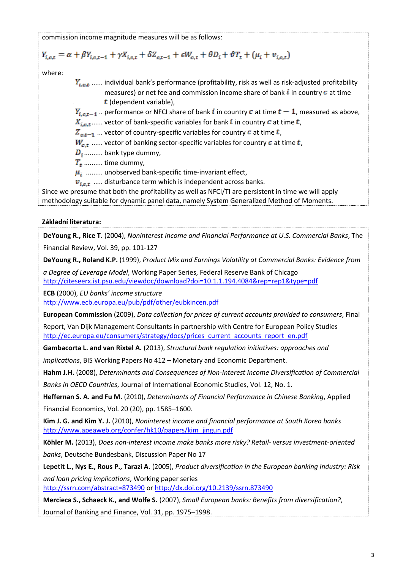commission income magnitude measures will be as follows:

$$
Y_{i,c,t} = \alpha + \beta Y_{i,c,t-1} + \gamma X_{i,c,t} + \delta Z_{c,t-1} + \epsilon W_{c,t} + \theta D_i + \vartheta T_t + (\mu_i + \nu_{i,c,t})
$$

where:

 $Y_{i, c, t}$  ...... individual bank's performance (profitability, risk as well as risk-adjusted profitability measures) or net fee and commission income share of bank  $\vec{i}$  in country  $\vec{c}$  at time  $t$  (dependent variable).

 $Y_{i,c,t-1}$ . performance or NFCI share of bank i in country c at time  $t-1$ , measured as above,

 $X_{i.e.,...}$  vector of bank-specific variables for bank i in country c at time t,

 $Z_{c,t-1}$  ... vector of country-specific variables for country c at time t,

 $W_{c,t}$  ...... vector of banking sector-specific variables for country  $c$  at time  $t$ ,

 $D_i$ .......... bank type dummy,

 $T_{\star}$  ......... time dummy,

 $\mu_i$  ......... unobserved bank-specific time-invariant effect,

 $v_{i,c,t}$  ..... disturbance term which is independent across banks.

Since we presume that both the profitability as well as NFCI/TI are persistent in time we will apply methodology suitable for dynamic panel data, namely System Generalized Method of Moments.

## **Základní literatura:**

**DeYoung R., Rice T.** (2004), *Noninterest Income and Financial Performance at U.S. Commercial Banks*, The Financial Review, Vol. 39, pp. 101-127

**DeYoung R., Roland K.P.** (1999), *Product Mix and Earnings Volatility at Commercial Banks: Evidence from* 

*a Degree of Leverage Model*, Working Paper Series, Federal Reserve Bank of Chicago http://citeseerx.ist.psu.edu/viewdoc/download?doi=10.1.1.194.4084&rep=rep1&type=pdf

**ECB** (2000), *EU banks' income structure* http://www.ecb.europa.eu/pub/pdf/other/eubkincen.pdf

**European Commission** (2009), *Data collection for prices of current accounts provided to consumers*, Final

Report, Van Dijk Management Consultants in partnership with Centre for European Policy Studies http://ec.europa.eu/consumers/strategy/docs/prices\_current\_accounts\_report\_en.pdf

**Gambacorta L. and van Rixtel A.** (2013), *Structural bank regulation initiatives: approaches and* 

*implications*, BIS Working Papers No 412 – Monetary and Economic Department.

**Hahm J.H.** (2008), *Determinants and Consequences of Non-Interest Income Diversification of Commercial* 

*Banks in OECD Countries*, Journal of International Economic Studies, Vol. 12, No. 1.

**Heffernan S. A. and Fu M.** (2010), *Determinants of Financial Performance in Chinese Banking*, Applied Financial Economics, Vol. 20 (20), pp. 1585–1600.

**Kim J. G. and Kim Y. J.** (2010), *Noninterest income and financial performance at South Korea banks* [http://www.apeaweb.org/confer/hk10/papers/kim\\_jingun.pdf](http://www.apeaweb.org/confer/hk10/papers/kim_jingun.pdf)

**Köhler M.** (2013), *Does non-interest income make banks more risky? Retail- versus investment-oriented banks*, Deutsche Bundesbank, Discussion Paper No 17

**Lepetit L., Nys E., Rous P., Tarazi A.** (2005), *Product diversification in the European banking industry: Risk and loan pricing implications*, Working paper series <http://ssrn.com/abstract=873490> o[r http://dx.doi.org/10.2139/ssrn.873490](http://dx.doi.org/10.2139/ssrn.873490)

**Mercieca S., Schaeck K., and Wolfe S.** (2007), *Small European banks: Benefits from diversification?*, Journal of Banking and Finance, Vol. 31, pp. 1975–1998.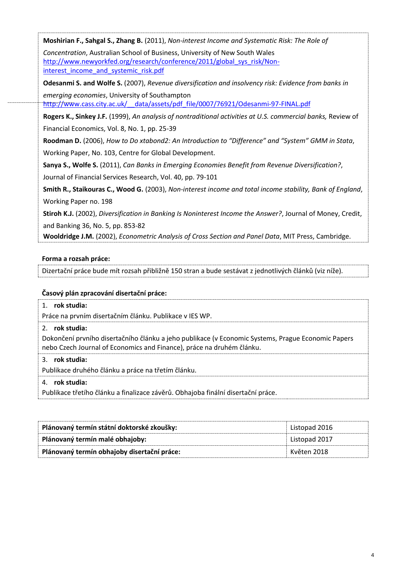**Moshirian F., Sahgal S., Zhang B.** (2011), *Non-interest Income and Systematic Risk: The Role of* 

*Concentration*, Australian School of Business, University of New South Wales [http://www.newyorkfed.org/research/conference/2011/global\\_sys\\_risk/Non](http://www.newyorkfed.org/research/conference/2011/global_sys_risk/Non-interest_income_and_systemic_risk.pdf)interest income and systemic risk.pdf

**Odesanmi S. and Wolfe S.** (2007), *Revenue diversification and insolvency risk: Evidence from banks in emerging economies*, University of Southampton

[http://www.cass.city.ac.uk/\\_\\_data/assets/pdf\\_file/0007/76921/Odesanmi-97-FINAL.pdf](http://www.cass.city.ac.uk/__data/assets/pdf_file/0007/76921/Odesanmi-97-FINAL.pdf)

**Rogers K., Sinkey J.F.** (1999), *An analysis of nontraditional activities at U.S. commercial banks,* Review of Financial Economics, Vol. 8, No. 1, pp. 25-39

**Roodman D.** (2006), *How to Do xtabond2: An Introduction to "Difference" and "System" GMM in Stata*, Working Paper, No. 103, Centre for Global Development.

**Sanya S., Wolfe S.** (2011), *Can Banks in Emerging Economies Benefit from Revenue Diversification?*, Journal of Financial Services Research, Vol. 40, pp. 79-101

**Smith R., Staikouras C., Wood G.** (2003), *Non-interest income and total income stability, Bank of England*, Working Paper no. 198

**Stiroh K.J.** (2002), *Diversification in Banking Is Noninterest Income the Answer?*, Journal of Money, Credit, and Banking 36, No. 5, pp. 853-82

**Wooldridge J.M.** (2002), *Econometric Analysis of Cross Section and Panel Data*, MIT Press, Cambridge.

## **Forma a rozsah práce:**

Dizertační práce bude mít rozsah přibližně 150 stran a bude sestávat z jednotlivých článků (viz níže).

## **Časový plán zpracování disertační práce:**

## 1. **rok studia:**

Práce na prvním disertačním článku. Publikace v IES WP.

## 2. **rok studia:**

Dokončení prvního disertačního článku a jeho publikace (v Economic Systems, Prague Economic Papers nebo Czech Journal of Economics and Finance), práce na druhém článku.

## 3. **rok studia:**

Publikace druhého článku a práce na třetím článku.

## 4. **rok studia:**

Publikace třetího článku a finalizace závěrů. Obhajoba finální disertační práce.

| Plánovaný termín státní doktorské zkoušky:  | Listopad 2016 |
|---------------------------------------------|---------------|
| Plánovaný termín malé obhajoby:             | Listopad 2017 |
| Plánovaný termín obhajoby disertační práce: | Květen 2018   |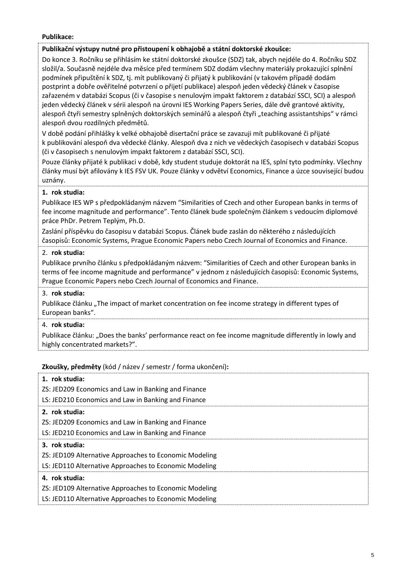#### **Publikace:**

#### **Publikační výstupy nutné pro přistoupení k obhajobě a státní doktorské zkoušce:**

Do konce 3. Ročníku se přihlásím ke státní doktorské zkoušce (SDZ) tak, abych nejdéle do 4. Ročníku SDZ složil/a. Současně nejdéle dva měsíce před termínem SDZ dodám všechny materiály prokazující splnění podmínek připuštění k SDZ, tj. mít publikovaný či přijatý k publikování (v takovém případě dodám postprint a dobře ověřitelné potvrzení o přijetí publikace) alespoň jeden vědecký článek v časopise zařazeném v databázi Scopus (či v časopise s nenulovým impakt faktorem z databází SSCI, SCI) a alespoň jeden vědecký článek v sérii alespoň na úrovni IES Working Papers Series, dále dvě grantové aktivity, alespoň čtyři semestry splněných doktorských seminářů a alespoň čtyři "teaching assistantships" v rámci alespoň dvou rozdílných předmětů.

V době podání přihlášky k velké obhajobě disertační práce se zavazuji mít publikované či přijaté k publikování alespoň dva vědecké články. Alespoň dva z nich ve vědeckých časopisech v databázi Scopus (či v časopisech s nenulovým impakt faktorem z databází SSCI, SCI).

Pouze články přijaté k publikaci v době, kdy student studuje doktorát na IES, splní tyto podmínky. Všechny články musí být afilovány k IES FSV UK. Pouze články v odvětví Economics, Finance a úzce související budou uznány.

## **1. rok studia:**

Publikace IES WP s předpokládaným názvem "Similarities of Czech and other European banks in terms of fee income magnitude and performance". Tento článek bude společným článkem s vedoucím diplomové práce PhDr. Petrem Teplým, Ph.D.

Zaslání příspěvku do časopisu v databázi Scopus. Článek bude zaslán do některého z následujících časopisů: Economic Systems, Prague Economic Papers nebo Czech Journal of Economics and Finance.

## 2. **rok studia:**

Publikace prvního článku s předpokládaným názvem: "Similarities of Czech and other European banks in terms of fee income magnitude and performance" v jednom z následujících časopisů: Economic Systems, Prague Economic Papers nebo Czech Journal of Economics and Finance.

## 3. **rok studia:**

Publikace článku "The impact of market concentration on fee income strategy in different types of European banks".

## 4. **rok studia:**

Publikace článku: "Does the banks' performance react on fee income magnitude differently in lowly and highly concentrated markets?".

## **Zkoušky, předměty** (kód / název / semestr / forma ukončení)**:**

| 1. rok studia:                                         |
|--------------------------------------------------------|
| ZS: JED209 Economics and Law in Banking and Finance    |
| LS: JED210 Economics and Law in Banking and Finance    |
| 2. rok studia:                                         |
| ZS: JED209 Economics and Law in Banking and Finance    |
| LS: JED210 Economics and Law in Banking and Finance    |
| 3. rok studia:                                         |
| ZS: JED109 Alternative Approaches to Economic Modeling |
| LS: JED110 Alternative Approaches to Economic Modeling |
| 4. rok studia:                                         |
| ZS: JED109 Alternative Approaches to Economic Modeling |
| LS: JED110 Alternative Approaches to Economic Modeling |
|                                                        |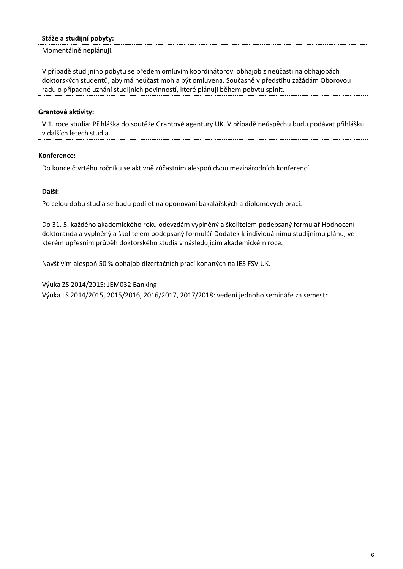## **Stáže a studijní pobyty:**

Momentálně neplánuji.

V případě studijního pobytu se předem omluvím koordinátorovi obhajob z neúčasti na obhajobách doktorských studentů, aby má neúčast mohla být omluvena. Současně v předstihu zažádám Oborovou radu o případné uznání studijních povinností, které plánuji během pobytu splnit.

#### **Grantové aktivity:**

V 1. roce studia: Přihláška do soutěže Grantové agentury UK. V případě neúspěchu budu podávat přihlášku v dalších letech studia.

#### **Konference:**

Do konce čtvrtého ročníku se aktivně zúčastním alespoň dvou mezinárodních konferencí.

#### **Další:**

Po celou dobu studia se budu podílet na oponování bakalářských a diplomových prací.

Do 31. 5. každého akademického roku odevzdám vyplněný a školitelem podepsaný formulář Hodnocení doktoranda a vyplněný a školitelem podepsaný formulář Dodatek k individuálnímu studijnímu plánu, ve kterém upřesním průběh doktorského studia v následujícím akademickém roce.

Navštívím alespoň 50 % obhajob dizertačních prací konaných na IES FSV UK.

Výuka ZS 2014/2015: JEM032 Banking Výuka LS 2014/2015, 2015/2016, 2016/2017, 2017/2018: vedení jednoho semináře za semestr.